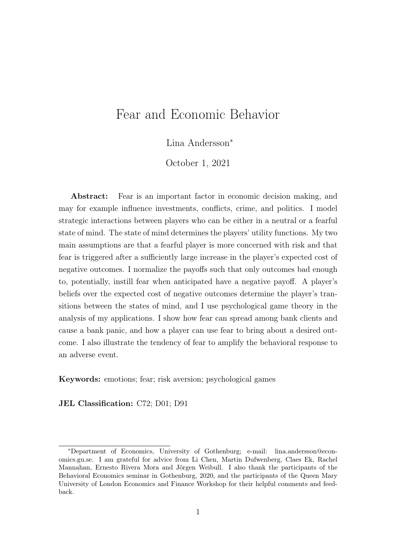# Fear and Economic Behavior

Lina Andersson<sup>∗</sup>

October 1, 2021

Abstract: Fear is an important factor in economic decision making, and may for example influence investments, conflicts, crime, and politics. I model strategic interactions between players who can be either in a neutral or a fearful state of mind. The state of mind determines the players' utility functions. My two main assumptions are that a fearful player is more concerned with risk and that fear is triggered after a sufficiently large increase in the player's expected cost of negative outcomes. I normalize the payoffs such that only outcomes bad enough to, potentially, instill fear when anticipated have a negative payoff. A player's beliefs over the expected cost of negative outcomes determine the player's transitions between the states of mind, and I use psychological game theory in the analysis of my applications. I show how fear can spread among bank clients and cause a bank panic, and how a player can use fear to bring about a desired outcome. I also illustrate the tendency of fear to amplify the behavioral response to an adverse event.

Keywords: emotions; fear; risk aversion; psychological games

JEL Classification: C72; D01; D91

<sup>∗</sup>Department of Economics, University of Gothenburg; e-mail: lina.andersson@economics.gu.se. I am grateful for advice from Li Chen, Martin Dufwenberg, Claes Ek, Rachel Mannahan, Ernesto Rivera Mora and Jörgen Weibull. I also thank the participants of the Behavioral Economics seminar in Gothenburg, 2020, and the participants of the Queen Mary University of London Economics and Finance Workshop for their helpful comments and feedback.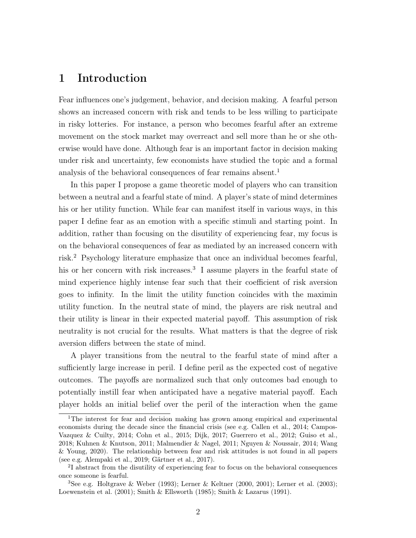# 1 Introduction

Fear influences one's judgement, behavior, and decision making. A fearful person shows an increased concern with risk and tends to be less willing to participate in risky lotteries. For instance, a person who becomes fearful after an extreme movement on the stock market may overreact and sell more than he or she otherwise would have done. Although fear is an important factor in decision making under risk and uncertainty, few economists have studied the topic and a formal analysis of the behavioral consequences of fear remains absent.<sup>1</sup>

In this paper I propose a game theoretic model of players who can transition between a neutral and a fearful state of mind. A player's state of mind determines his or her utility function. While fear can manifest itself in various ways, in this paper I define fear as an emotion with a specific stimuli and starting point. In addition, rather than focusing on the disutility of experiencing fear, my focus is on the behavioral consequences of fear as mediated by an increased concern with risk.<sup>2</sup> Psychology literature emphasize that once an individual becomes fearful, his or her concern with risk increases.<sup>3</sup> I assume players in the fearful state of mind experience highly intense fear such that their coefficient of risk aversion goes to infinity. In the limit the utility function coincides with the maximin utility function. In the neutral state of mind, the players are risk neutral and their utility is linear in their expected material payoff. This assumption of risk neutrality is not crucial for the results. What matters is that the degree of risk aversion differs between the state of mind.

A player transitions from the neutral to the fearful state of mind after a sufficiently large increase in peril. I define peril as the expected cost of negative outcomes. The payoffs are normalized such that only outcomes bad enough to potentially instill fear when anticipated have a negative material payoff. Each player holds an initial belief over the peril of the interaction when the game

<sup>1</sup>The interest for fear and decision making has grown among empirical and experimental economists during the decade since the financial crisis (see e.g. Callen et al., 2014; Campos-Vazquez & Cuilty, 2014; Cohn et al., 2015; Dijk, 2017; Guerrero et al., 2012; Guiso et al., 2018; Kuhnen & Knutson, 2011; Malmendier & Nagel, 2011; Nguyen & Noussair, 2014; Wang & Young, 2020). The relationship between fear and risk attitudes is not found in all papers (see e.g. Alempaki et al., 2019; Gärtner et al., 2017).

<sup>2</sup> I abstract from the disutility of experiencing fear to focus on the behavioral consequences once someone is fearful.

<sup>&</sup>lt;sup>3</sup>See e.g. Holtgrave & Weber (1993); Lerner & Keltner (2000, 2001); Lerner et al. (2003); Loewenstein et al. (2001); Smith & Ellsworth (1985); Smith & Lazarus (1991).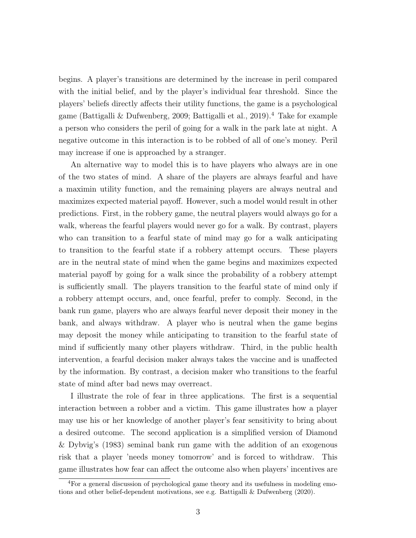begins. A player's transitions are determined by the increase in peril compared with the initial belief, and by the player's individual fear threshold. Since the players' beliefs directly affects their utility functions, the game is a psychological game (Battigalli & Dufwenberg, 2009; Battigalli et al., 2019).<sup>4</sup> Take for example a person who considers the peril of going for a walk in the park late at night. A negative outcome in this interaction is to be robbed of all of one's money. Peril may increase if one is approached by a stranger.

An alternative way to model this is to have players who always are in one of the two states of mind. A share of the players are always fearful and have a maximin utility function, and the remaining players are always neutral and maximizes expected material payoff. However, such a model would result in other predictions. First, in the robbery game, the neutral players would always go for a walk, whereas the fearful players would never go for a walk. By contrast, players who can transition to a fearful state of mind may go for a walk anticipating to transition to the fearful state if a robbery attempt occurs. These players are in the neutral state of mind when the game begins and maximizes expected material payoff by going for a walk since the probability of a robbery attempt is sufficiently small. The players transition to the fearful state of mind only if a robbery attempt occurs, and, once fearful, prefer to comply. Second, in the bank run game, players who are always fearful never deposit their money in the bank, and always withdraw. A player who is neutral when the game begins may deposit the money while anticipating to transition to the fearful state of mind if sufficiently many other players withdraw. Third, in the public health intervention, a fearful decision maker always takes the vaccine and is unaffected by the information. By contrast, a decision maker who transitions to the fearful state of mind after bad news may overreact.

I illustrate the role of fear in three applications. The first is a sequential interaction between a robber and a victim. This game illustrates how a player may use his or her knowledge of another player's fear sensitivity to bring about a desired outcome. The second application is a simplified version of Diamond & Dybvig's (1983) seminal bank run game with the addition of an exogenous risk that a player 'needs money tomorrow' and is forced to withdraw. This game illustrates how fear can affect the outcome also when players' incentives are

<sup>4</sup>For a general discussion of psychological game theory and its usefulness in modeling emotions and other belief-dependent motivations, see e.g. Battigalli & Dufwenberg (2020).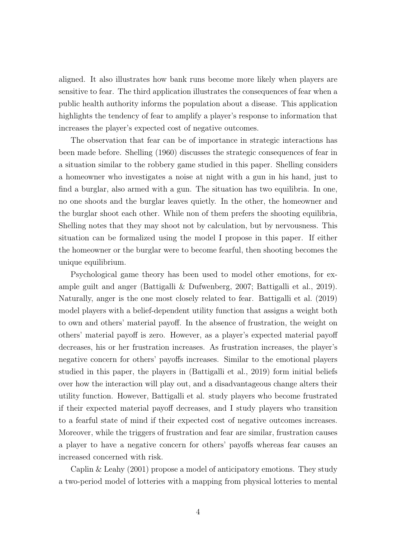aligned. It also illustrates how bank runs become more likely when players are sensitive to fear. The third application illustrates the consequences of fear when a public health authority informs the population about a disease. This application highlights the tendency of fear to amplify a player's response to information that increases the player's expected cost of negative outcomes.

The observation that fear can be of importance in strategic interactions has been made before. Shelling (1960) discusses the strategic consequences of fear in a situation similar to the robbery game studied in this paper. Shelling considers a homeowner who investigates a noise at night with a gun in his hand, just to find a burglar, also armed with a gun. The situation has two equilibria. In one, no one shoots and the burglar leaves quietly. In the other, the homeowner and the burglar shoot each other. While non of them prefers the shooting equilibria, Shelling notes that they may shoot not by calculation, but by nervousness. This situation can be formalized using the model I propose in this paper. If either the homeowner or the burglar were to become fearful, then shooting becomes the unique equilibrium.

Psychological game theory has been used to model other emotions, for example guilt and anger (Battigalli & Dufwenberg, 2007; Battigalli et al., 2019). Naturally, anger is the one most closely related to fear. Battigalli et al. (2019) model players with a belief-dependent utility function that assigns a weight both to own and others' material payoff. In the absence of frustration, the weight on others' material payoff is zero. However, as a player's expected material payoff decreases, his or her frustration increases. As frustration increases, the player's negative concern for others' payoffs increases. Similar to the emotional players studied in this paper, the players in (Battigalli et al., 2019) form initial beliefs over how the interaction will play out, and a disadvantageous change alters their utility function. However, Battigalli et al. study players who become frustrated if their expected material payoff decreases, and I study players who transition to a fearful state of mind if their expected cost of negative outcomes increases. Moreover, while the triggers of frustration and fear are similar, frustration causes a player to have a negative concern for others' payoffs whereas fear causes an increased concerned with risk.

Caplin & Leahy (2001) propose a model of anticipatory emotions. They study a two-period model of lotteries with a mapping from physical lotteries to mental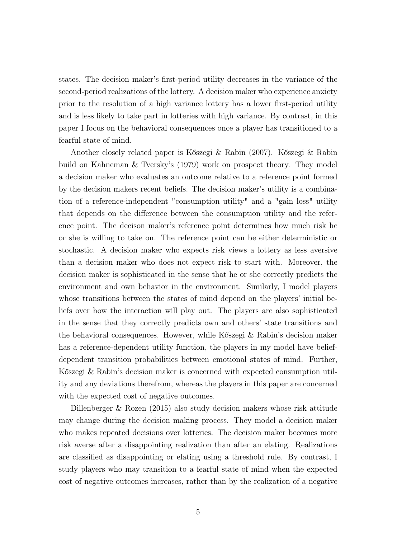states. The decision maker's first-period utility decreases in the variance of the second-period realizations of the lottery. A decision maker who experience anxiety prior to the resolution of a high variance lottery has a lower first-period utility and is less likely to take part in lotteries with high variance. By contrast, in this paper I focus on the behavioral consequences once a player has transitioned to a fearful state of mind.

Another closely related paper is Kőszegi & Rabin (2007). Kőszegi & Rabin build on Kahneman & Tversky's (1979) work on prospect theory. They model a decision maker who evaluates an outcome relative to a reference point formed by the decision makers recent beliefs. The decision maker's utility is a combination of a reference-independent "consumption utility" and a "gain loss" utility that depends on the difference between the consumption utility and the reference point. The decison maker's reference point determines how much risk he or she is willing to take on. The reference point can be either deterministic or stochastic. A decision maker who expects risk views a lottery as less aversive than a decision maker who does not expect risk to start with. Moreover, the decision maker is sophisticated in the sense that he or she correctly predicts the environment and own behavior in the environment. Similarly, I model players whose transitions between the states of mind depend on the players' initial beliefs over how the interaction will play out. The players are also sophisticated in the sense that they correctly predicts own and others' state transitions and the behavioral consequences. However, while Kőszegi & Rabin's decision maker has a reference-dependent utility function, the players in my model have beliefdependent transition probabilities between emotional states of mind. Further, Kőszegi & Rabin's decision maker is concerned with expected consumption utility and any deviations therefrom, whereas the players in this paper are concerned with the expected cost of negative outcomes.

Dillenberger & Rozen (2015) also study decision makers whose risk attitude may change during the decision making process. They model a decision maker who makes repeated decisions over lotteries. The decision maker becomes more risk averse after a disappointing realization than after an elating. Realizations are classified as disappointing or elating using a threshold rule. By contrast, I study players who may transition to a fearful state of mind when the expected cost of negative outcomes increases, rather than by the realization of a negative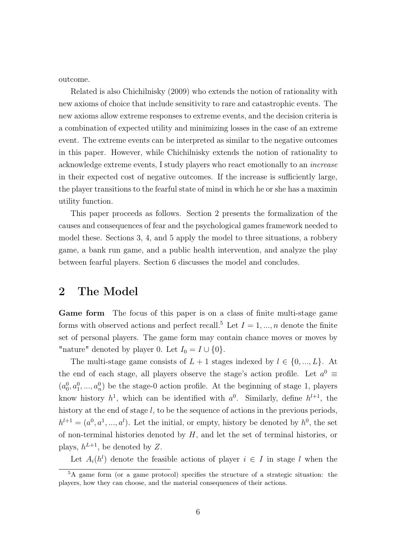outcome.

Related is also Chichilnisky (2009) who extends the notion of rationality with new axioms of choice that include sensitivity to rare and catastrophic events. The new axioms allow extreme responses to extreme events, and the decision criteria is a combination of expected utility and minimizing losses in the case of an extreme event. The extreme events can be interpreted as similar to the negative outcomes in this paper. However, while Chichilnisky extends the notion of rationality to acknowledge extreme events, I study players who react emotionally to an increase in their expected cost of negative outcomes. If the increase is sufficiently large, the player transitions to the fearful state of mind in which he or she has a maximin utility function.

This paper proceeds as follows. Section 2 presents the formalization of the causes and consequences of fear and the psychological games framework needed to model these. Sections 3, 4, and 5 apply the model to three situations, a robbery game, a bank run game, and a public health intervention, and analyze the play between fearful players. Section 6 discusses the model and concludes.

#### 2 The Model

Game form The focus of this paper is on a class of finite multi-stage game forms with observed actions and perfect recall.<sup>5</sup> Let  $I = 1, ..., n$  denote the finite set of personal players. The game form may contain chance moves or moves by "nature" denoted by player 0. Let  $I_0 = I \cup \{0\}$ .

The multi-stage game consists of  $L + 1$  stages indexed by  $l \in \{0, ..., L\}$ . At the end of each stage, all players observe the stage's action profile. Let  $a^0 \equiv$  $(a_0^0, a_1^0, ..., a_n^0)$  be the stage-0 action profile. At the beginning of stage 1, players know history  $h^1$ , which can be identified with  $a^0$ . Similarly, define  $h^{l+1}$ , the history at the end of stage  $l$ , to be the sequence of actions in the previous periods,  $h^{l+1} = (a^0, a^1, ..., a^l)$ . Let the initial, or empty, history be denoted by  $h^0$ , the set of non-terminal histories denoted by  $H$ , and let the set of terminal histories, or plays,  $h^{L+1}$ , be denoted by Z.

Let  $A_i(h^l)$  denote the feasible actions of player  $i \in I$  in stage l when the

<sup>5</sup>A game form (or a game protocol) specifies the structure of a strategic situation: the players, how they can choose, and the material consequences of their actions.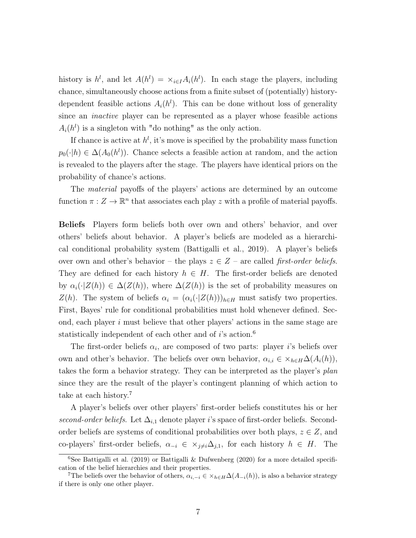history is  $h^l$ , and let  $A(h^l) = \times_{i \in I} A_i(h^l)$ . In each stage the players, including chance, simultaneously choose actions from a finite subset of (potentially) historydependent feasible actions  $A_i(h^l)$ . This can be done without loss of generality since an inactive player can be represented as a player whose feasible actions  $A_i(h^l)$  is a singleton with "do nothing" as the only action.

If chance is active at  $h^l$ , it's move is specified by the probability mass function  $p_0(\cdot|h) \in \Delta(A_0(h^l))$ . Chance selects a feasible action at random, and the action is revealed to the players after the stage. The players have identical priors on the probability of chance's actions.

The material payoffs of the players' actions are determined by an outcome function  $\pi : Z \to \mathbb{R}^n$  that associates each play z with a profile of material payoffs.

Beliefs Players form beliefs both over own and others' behavior, and over others' beliefs about behavior. A player's beliefs are modeled as a hierarchical conditional probability system (Battigalli et al., 2019). A player's beliefs over own and other's behavior – the plays  $z \in Z$  – are called *first-order beliefs*. They are defined for each history  $h \in H$ . The first-order beliefs are denoted by  $\alpha_i(\cdot|Z(h)) \in \Delta(Z(h))$ , where  $\Delta(Z(h))$  is the set of probability measures on  $Z(h)$ . The system of beliefs  $\alpha_i = (\alpha_i(\cdot | Z(h)))_{h \in H}$  must satisfy two properties. First, Bayes' rule for conditional probabilities must hold whenever defined. Second, each player  $i$  must believe that other players' actions in the same stage are statistically independent of each other and of  $i$ 's action.<sup>6</sup>

The first-order beliefs  $\alpha_i$ , are composed of two parts: player *i*'s beliefs over own and other's behavior. The beliefs over own behavior,  $\alpha_{i,i} \in \times_{h \in H} \Delta(A_i(h)),$ takes the form a behavior strategy. They can be interpreted as the player's plan since they are the result of the player's contingent planning of which action to take at each history.<sup>7</sup>

A player's beliefs over other players' first-order beliefs constitutes his or her second-order beliefs. Let  $\Delta_{i,1}$  denote player i's space of first-order beliefs. Secondorder beliefs are systems of conditional probabilities over both plays,  $z \in \mathbb{Z}$ , and co-players' first-order beliefs,  $\alpha_{-i} \in \times_{j\neq i} \Delta_{j,1}$ , for each history  $h \in H$ . The

<sup>&</sup>lt;sup>6</sup>See Battigalli et al. (2019) or Battigalli & Dufwenberg (2020) for a more detailed specification of the belief hierarchies and their properties.

<sup>&</sup>lt;sup>7</sup>The beliefs over the behavior of others,  $\alpha_{i,-i} \in \times_{h \in H} \Delta(A_{-i}(h))$ , is also a behavior strategy if there is only one other player.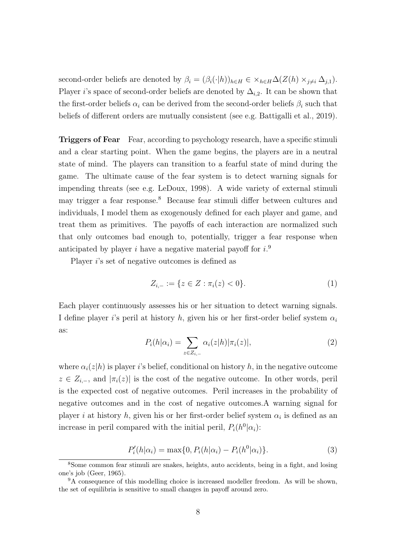second-order beliefs are denoted by  $\beta_i = (\beta_i(\cdot|h))_{h\in H} \in \times_{h\in H} \Delta(Z(h) \times_{j\neq i} \Delta_{j,1}).$ Player i's space of second-order beliefs are denoted by  $\Delta_{i,2}$ . It can be shown that the first-order beliefs  $\alpha_i$  can be derived from the second-order beliefs  $\beta_i$  such that beliefs of different orders are mutually consistent (see e.g. Battigalli et al., 2019).

**Triggers of Fear** Fear, according to psychology research, have a specific stimuli and a clear starting point. When the game begins, the players are in a neutral state of mind. The players can transition to a fearful state of mind during the game. The ultimate cause of the fear system is to detect warning signals for impending threats (see e.g. LeDoux, 1998). A wide variety of external stimuli may trigger a fear response.<sup>8</sup> Because fear stimuli differ between cultures and individuals, I model them as exogenously defined for each player and game, and treat them as primitives. The payoffs of each interaction are normalized such that only outcomes bad enough to, potentially, trigger a fear response when anticipated by player i have a negative material payoff for  $i$ .<sup>9</sup>

Player *i*'s set of negative outcomes is defined as

$$
Z_{i,-} := \{ z \in Z : \pi_i(z) < 0 \}. \tag{1}
$$

Each player continuously assesses his or her situation to detect warning signals. I define player i's peril at history h, given his or her first-order belief system  $\alpha_i$ as:

$$
P_i(h|\alpha_i) = \sum_{z \in Z_{i,-}} \alpha_i(z|h) |\pi_i(z)|,\tag{2}
$$

where  $\alpha_i(z|h)$  is player is belief, conditional on history h, in the negative outcome  $z \in Z_{i,-}$ , and  $|\pi_i(z)|$  is the cost of the negative outcome. In other words, peril is the expected cost of negative outcomes. Peril increases in the probability of negative outcomes and in the cost of negative outcomes.A warning signal for player *i* at history *h*, given his or her first-order belief system  $\alpha_i$  is defined as an increase in peril compared with the initial peril,  $P_i(h^0|\alpha_i)$ :

$$
P'_{i}(h|\alpha_{i}) = \max\{0, P_{i}(h|\alpha_{i}) - P_{i}(h^{0}|\alpha_{i})\}.
$$
 (3)

<sup>8</sup>Some common fear stimuli are snakes, heights, auto accidents, being in a fight, and losing one's job (Geer, 1965).

<sup>9</sup>A consequence of this modelling choice is increased modeller freedom. As will be shown, the set of equilibria is sensitive to small changes in payoff around zero.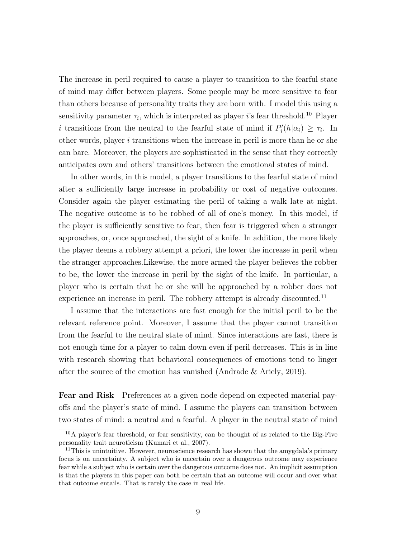The increase in peril required to cause a player to transition to the fearful state of mind may differ between players. Some people may be more sensitive to fear than others because of personality traits they are born with. I model this using a sensitivity parameter  $\tau_i$ , which is interpreted as player *i*'s fear threshold.<sup>10</sup> Player i transitions from the neutral to the fearful state of mind if  $P'_i(h|\alpha_i) \geq \tau_i$ . In other words, player  $i$  transitions when the increase in peril is more than he or she can bare. Moreover, the players are sophisticated in the sense that they correctly anticipates own and others' transitions between the emotional states of mind.

In other words, in this model, a player transitions to the fearful state of mind after a sufficiently large increase in probability or cost of negative outcomes. Consider again the player estimating the peril of taking a walk late at night. The negative outcome is to be robbed of all of one's money. In this model, if the player is sufficiently sensitive to fear, then fear is triggered when a stranger approaches, or, once approached, the sight of a knife. In addition, the more likely the player deems a robbery attempt a priori, the lower the increase in peril when the stranger approaches.Likewise, the more armed the player believes the robber to be, the lower the increase in peril by the sight of the knife. In particular, a player who is certain that he or she will be approached by a robber does not experience an increase in peril. The robbery attempt is already discounted.<sup>11</sup>

I assume that the interactions are fast enough for the initial peril to be the relevant reference point. Moreover, I assume that the player cannot transition from the fearful to the neutral state of mind. Since interactions are fast, there is not enough time for a player to calm down even if peril decreases. This is in line with research showing that behavioral consequences of emotions tend to linger after the source of the emotion has vanished (Andrade & Ariely, 2019).

Fear and Risk Preferences at a given node depend on expected material payoffs and the player's state of mind. I assume the players can transition between two states of mind: a neutral and a fearful. A player in the neutral state of mind

 $10$ A player's fear threshold, or fear sensitivity, can be thought of as related to the Big-Five personality trait neuroticism (Kumari et al., 2007).

 $11$ This is unintuitive. However, neuroscience research has shown that the amygdala's primary focus is on uncertainty. A subject who is uncertain over a dangerous outcome may experience fear while a subject who is certain over the dangerous outcome does not. An implicit assumption is that the players in this paper can both be certain that an outcome will occur and over what that outcome entails. That is rarely the case in real life.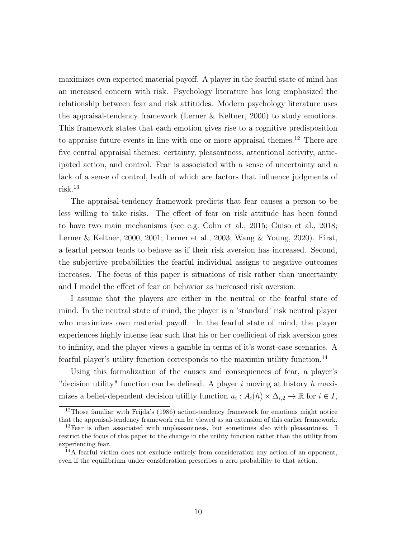maximizes own expected material payoff. A player in the fearful state of mind has an increased concern with risk. Psychology literature has long emphasized the relationship between fear and risk attitudes. Modern psychology literature uses the appraisal-tendency framework (Lerner & Keltner, 2000) to study emotions. This framework states that each emotion gives rise to a cognitive predisposition to appraise future events in line with one or more appraisal themes.<sup>12</sup> There are five central appraisal themes: certainty, pleasantness, attentional activity, anticipated action, and control. Fear is associated with a sense of uncertainty and a lack of a sense of control, both of which are factors that influence judgments of risk.<sup>13</sup>

The appraisal-tendency framework predicts that fear causes a person to be less willing to take risks. The effect of fear on risk attitude has been found to have two main mechanisms (see e.g. Cohn et al., 2015; Guiso et al., 2018; Lerner & Keltner, 2000, 2001; Lerner et al., 2003; Wang & Young, 2020). First, a fearful person tends to behave as if their risk aversion has increased. Second, the subjective probabilities the fearful individual assigns to negative outcomes increases. The focus of this paper is situations of risk rather than uncertainty and I model the effect of fear on behavior as increased risk aversion.

I assume that the players are either in the neutral or the fearful state of mind. In the neutral state of mind, the player is a 'standard' risk neutral player who maximizes own material payoff. In the fearful state of mind, the player experiences highly intense fear such that his or her coefficient of risk aversion goes to infinity, and the player views a gamble in terms of it's worst-case scenarios. A fearful player's utility function corresponds to the maximin utility function.<sup>14</sup>

Using this formalization of the causes and consequences of fear, a player's "decision utility" function can be defined. A player i moving at history h maximizes a belief-dependent decision utility function  $u_i: A_i(h) \times \Delta_{i,2} \to \mathbb{R}$  for  $i \in I$ ,

<sup>&</sup>lt;sup>12</sup>Those familiar with Frijda's (1986) action-tendency framework for emotions might notice that the appraisal-tendency framework can be viewed as an extension of this earlier framework.

<sup>&</sup>lt;sup>13</sup>Fear is often associated with unpleasantness, but sometimes also with pleasantness. I restrict the focus of this paper to the change in the utility function rather than the utility from experiencing fear.

<sup>14</sup>A fearful victim does not exclude entirely from consideration any action of an opponent, even if the equilibrium under consideration prescribes a zero probability to that action.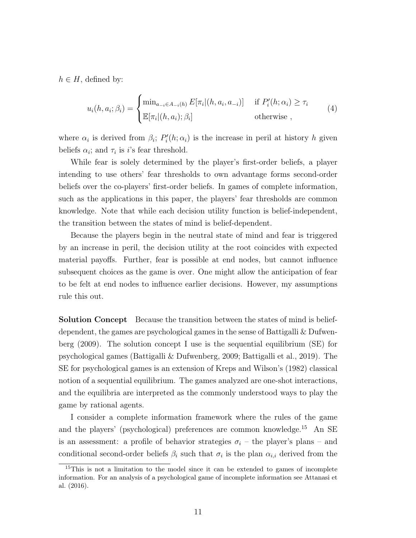$h \in H$ , defined by:

$$
u_i(h, a_i; \beta_i) = \begin{cases} \min_{a_{-i} \in A_{-i}(h)} E[\pi_i](h, a_i, a_{-i})] & \text{if } P'_i(h; \alpha_i) \ge \tau_i \\ \mathbb{E}[\pi_i](h, a_i); \beta_i] & \text{otherwise} \end{cases}
$$
(4)

where  $\alpha_i$  is derived from  $\beta_i$ ;  $P'_i(h; \alpha_i)$  is the increase in peril at history h given beliefs  $\alpha_i$ ; and  $\tau_i$  is *i*'s fear threshold.

While fear is solely determined by the player's first-order beliefs, a player intending to use others' fear thresholds to own advantage forms second-order beliefs over the co-players' first-order beliefs. In games of complete information, such as the applications in this paper, the players' fear thresholds are common knowledge. Note that while each decision utility function is belief-independent, the transition between the states of mind is belief-dependent.

Because the players begin in the neutral state of mind and fear is triggered by an increase in peril, the decision utility at the root coincides with expected material payoffs. Further, fear is possible at end nodes, but cannot influence subsequent choices as the game is over. One might allow the anticipation of fear to be felt at end nodes to influence earlier decisions. However, my assumptions rule this out.

**Solution Concept** Because the transition between the states of mind is beliefdependent, the games are psychological games in the sense of Battigalli & Dufwenberg (2009). The solution concept I use is the sequential equilibrium (SE) for psychological games (Battigalli & Dufwenberg, 2009; Battigalli et al., 2019). The SE for psychological games is an extension of Kreps and Wilson's (1982) classical notion of a sequential equilibrium. The games analyzed are one-shot interactions, and the equilibria are interpreted as the commonly understood ways to play the game by rational agents.

I consider a complete information framework where the rules of the game and the players' (psychological) preferences are common knowledge.<sup>15</sup> An SE is an assessment: a profile of behavior strategies  $\sigma_i$  – the player's plans – and conditional second-order beliefs  $\beta_i$  such that  $\sigma_i$  is the plan  $\alpha_{i,i}$  derived from the

<sup>15</sup>This is not a limitation to the model since it can be extended to games of incomplete information. For an analysis of a psychological game of incomplete information see Attanasi et al. (2016).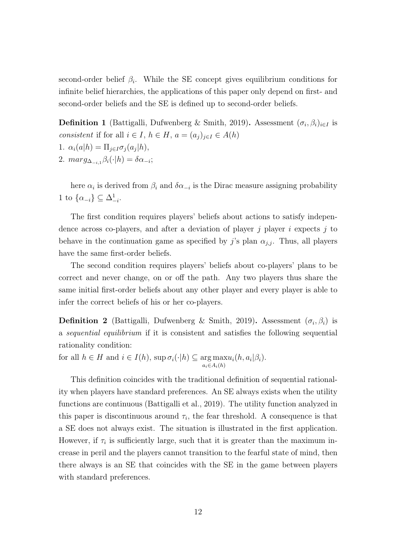second-order belief  $\beta_i$ . While the SE concept gives equilibrium conditions for infinite belief hierarchies, the applications of this paper only depend on first- and second-order beliefs and the SE is defined up to second-order beliefs.

**Definition 1** (Battigalli, Dufwenberg & Smith, 2019). Assessment  $(\sigma_i, \beta_i)_{i \in I}$  is consistent if for all  $i \in I$ ,  $h \in H$ ,  $a = (a_j)_{j \in I} \in A(h)$ 1.  $\alpha_i(a|h) = \prod_{j \in I} \sigma_j(a_j|h),$ 2.  $marg_{\Delta_{-i,1}}\beta_i(\cdot|h) = \delta \alpha_{-i};$ 

here  $\alpha_i$  is derived from  $\beta_i$  and  $\delta \alpha_{-i}$  is the Dirac measure assigning probability 1 to  $\{\alpha_{-i}\}\subseteq \Delta^1_{-i}$ .

The first condition requires players' beliefs about actions to satisfy independence across co-players, and after a deviation of player  $i$  player i expects  $j$  to behave in the continuation game as specified by j's plan  $\alpha_{j,j}$ . Thus, all players have the same first-order beliefs.

The second condition requires players' beliefs about co-players' plans to be correct and never change, on or off the path. Any two players thus share the same initial first-order beliefs about any other player and every player is able to infer the correct beliefs of his or her co-players.

**Definition 2** (Battigalli, Dufwenberg & Smith, 2019). Assessment  $(\sigma_i, \beta_i)$  is a sequential equilibrium if it is consistent and satisfies the following sequential rationality condition:

for all  $h \in H$  and  $i \in I(h)$ , sup  $\sigma_i(\cdot|h) \subseteq \arg \max$  $a_i \in A_i(h)$  $u_i(h, a_i | \beta_i).$ 

This definition coincides with the traditional definition of sequential rationality when players have standard preferences. An SE always exists when the utility functions are continuous (Battigalli et al., 2019). The utility function analyzed in this paper is discontinuous around  $\tau_i$ , the fear threshold. A consequence is that a SE does not always exist. The situation is illustrated in the first application. However, if  $\tau_i$  is sufficiently large, such that it is greater than the maximum increase in peril and the players cannot transition to the fearful state of mind, then there always is an SE that coincides with the SE in the game between players with standard preferences.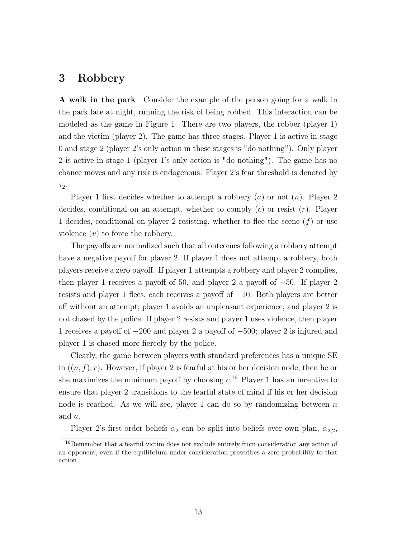# 3 Robbery

A walk in the park Consider the example of the person going for a walk in the park late at night, running the risk of being robbed. This interaction can be modeled as the game in Figure 1. There are two players, the robber (player 1) and the victim (player 2). The game has three stages. Player 1 is active in stage 0 and stage 2 (player 2's only action in these stages is "do nothing"). Only player 2 is active in stage 1 (player 1's only action is "do nothing"). The game has no chance moves and any risk is endogenous. Player 2's fear threshold is denoted by  $\tau_2$ .

Player 1 first decides whether to attempt a robbery  $(a)$  or not  $(n)$ . Player 2 decides, conditional on an attempt, whether to comply  $(c)$  or resist  $(r)$ . Player 1 decides, conditional on player 2 resisting, whether to flee the scene  $(f)$  or use violence  $(v)$  to force the robbery.

The payoffs are normalized such that all outcomes following a robbery attempt have a negative payoff for player 2. If player 1 does not attempt a robbery, both players receive a zero payoff. If player 1 attempts a robbery and player 2 complies, then player 1 receives a payoff of 50, and player 2 a payoff of  $-50$ . If player 2 resists and player 1 flees, each receives a payoff of −10. Both players are better off without an attempt; player 1 avoids an unpleasant experience, and player 2 is not chased by the police. If player 2 resists and player 1 uses violence, then player 1 receives a payoff of −200 and player 2 a payoff of −500; player 2 is injured and player 1 is chased more fiercely by the police.

Clearly, the game between players with standard preferences has a unique SE in  $((n, f), r)$ . However, if player 2 is fearful at his or her decision node, then he or she maximizes the minimum payoff by choosing  $c^{16}$  Player 1 has an incentive to ensure that player 2 transitions to the fearful state of mind if his or her decision node is reached. As we will see, player 1 can do so by randomizing between  $n$ and a.

Player 2's first-order beliefs  $\alpha_2$  can be split into beliefs over own plan,  $\alpha_{2,2}$ ,

<sup>&</sup>lt;sup>16</sup>Remember that a fearful victim does not exclude entirely from consideration any action of an opponent, even if the equilibrium under consideration prescribes a zero probability to that action.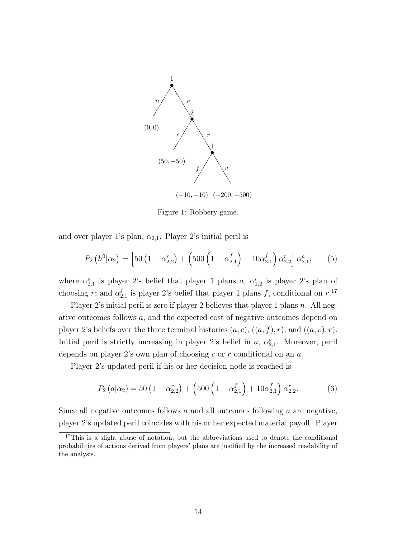

Figure 1: Robbery game.

and over player 1's plan,  $\alpha_{2,1}$ . Player 2's initial peril is

$$
P_2\left(h^0|\alpha_2\right) = \left[50\left(1 - \alpha_{2,2}^r\right) + \left(500\left(1 - \alpha_{2,1}^f\right) + 10\alpha_{2,1}^f\right)\alpha_{2,2}^r\right]\alpha_{2,1}^a,\tag{5}
$$

where  $\alpha_{2,1}^a$  is player 2's belief that player 1 plans a,  $\alpha_{2,2}^r$  is player 2's plan of choosing r; and  $\alpha_2^f$  $_{2,1}^f$  is player 2's belief that player 1 plans f, conditional on  $r$ .<sup>17</sup>

Player 2's initial peril is zero if player 2 believes that player 1 plans  $n$ . All negative outcomes follows a, and the expected cost of negative outcomes depend on player 2's beliefs over the three terminal histories  $(a, c)$ ,  $((a, f), r)$ , and  $((a, v), r)$ . Initial peril is strictly increasing in player 2's belief in a,  $\alpha_{2,1}^a$ . Moreover, peril depends on player 2's own plan of choosing  $c$  or  $r$  conditional on an  $a$ .

Player 2's updated peril if his or her decision node is reached is

$$
P_2(a|\alpha_2) = 50 \left(1 - \alpha_{2,2}^r\right) + \left(500 \left(1 - \alpha_{2,1}^f\right) + 10 \alpha_{2,1}^f\right) \alpha_{2,2}^r. \tag{6}
$$

Since all negative outcomes follows a and all outcomes following a are negative, player 2's updated peril coincides with his or her expected material payoff. Player

<sup>&</sup>lt;sup>17</sup>This is a slight abuse of notation, but the abbreviations used to denote the conditional probabilities of actions derived from players' plans are justified by the increased readability of the analysis.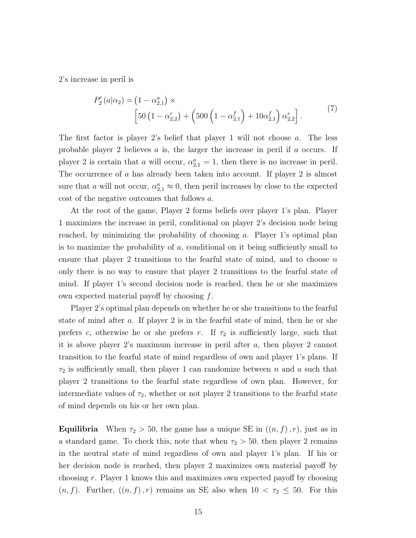2's increase in peril is

$$
P'_{2}(a|\alpha_{2}) = (1 - \alpha_{2,1}^{a}) \times \left[50(1 - \alpha_{2,2}^{r}) + (500(1 - \alpha_{2,1}^{f}) + 10\alpha_{2,1}^{f})\alpha_{2,2}^{r}\right].
$$
\n(7)

The first factor is player 2's belief that player 1 will not choose a. The less probable player 2 believes  $a$  is, the larger the increase in peril if  $a$  occurs. If player 2 is certain that a will occur,  $\alpha_{2,1}^a = 1$ , then there is no increase in peril. The occurrence of a has already been taken into account. If player 2 is almost sure that a will not occur,  $\alpha_{2,1}^a \approx 0$ , then peril increases by close to the expected cost of the negative outcomes that follows a.

At the root of the game, Player 2 forms beliefs over player 1's plan. Player 1 maximizes the increase in peril, conditional on player 2's decision node being reached, by minimizing the probability of choosing a. Player 1's optimal plan is to maximize the probability of  $a$ , conditional on it being sufficiently small to ensure that player 2 transitions to the fearful state of mind, and to choose  $n$ only there is no way to ensure that player 2 transitions to the fearful state of mind. If player 1's second decision node is reached, then he or she maximizes own expected material payoff by choosing  $f$ .

Player 2's optimal plan depends on whether he or she transitions to the fearful state of mind after a. If player 2 is in the fearful state of mind, then he or she prefers c, otherwise he or she prefers r. If  $\tau_2$  is sufficiently large, such that it is above player 2's maximum increase in peril after a, then player 2 cannot transition to the fearful state of mind regardless of own and player 1's plans. If  $\tau_2$  is sufficiently small, then player 1 can randomize between n and a such that player 2 transitions to the fearful state regardless of own plan. However, for intermediate values of  $\tau_2$ , whether or not player 2 transitions to the fearful state of mind depends on his or her own plan.

**Equilibria** When  $\tau_2 > 50$ , the game has a unique SE in  $((n, f), r)$ , just as in a standard game. To check this, note that when  $\tau_2 > 50$ , then player 2 remains in the neutral state of mind regardless of own and player 1's plan. If his or her decision node is reached, then player 2 maximizes own material payoff by choosing r. Player 1 knows this and maximizes own expected payoff by choosing  $(n, f)$ . Further,  $((n, f), r)$  remains an SE also when  $10 < \tau_2 \leq 50$ . For this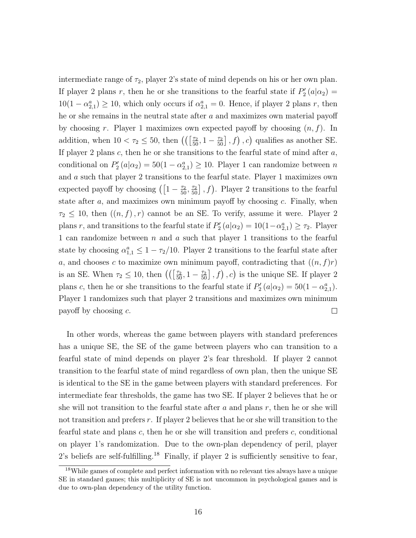intermediate range of  $\tau_2$ , player 2's state of mind depends on his or her own plan. If player 2 plans r, then he or she transitions to the fearful state if  $P'_2(a|\alpha_2) =$  $10(1 - \alpha_{2,1}^a) \ge 10$ , which only occurs if  $\alpha_{2,1}^a = 0$ . Hence, if player 2 plans r, then he or she remains in the neutral state after  $a$  and maximizes own material payoff by choosing r. Player 1 maximizes own expected payoff by choosing  $(n, f)$ . In addition, when  $10 < \tau_2 \le 50$ , then  $\left(\left(\left[\frac{\tau_2}{50}, 1 - \frac{\tau_2}{50}\right], f\right), c\right)$  qualifies as another SE. If player 2 plans  $c$ , then he or she transitions to the fearful state of mind after  $a$ , conditional on  $P'_2(a|\alpha_2) = 50(1-\alpha_{2,1}^a) \ge 10$ . Player 1 can randomize between n and a such that player 2 transitions to the fearful state. Player 1 maximizes own expected payoff by choosing  $\left( \left[1 - \frac{\tau_2}{50}, \frac{\tau_2}{50} \right], f \right)$ . Player 2 transitions to the fearful state after  $a$ , and maximizes own minimum payoff by choosing  $c$ . Finally, when  $\tau_2 \leq 10$ , then  $((n, f), r)$  cannot be an SE. To verify, assume it were. Player 2 plans r, and transitions to the fearful state if  $P'_2(a|\alpha_2) = 10(1-\alpha_{2,1}^a) \ge \tau_2$ . Player 1 can randomize between  $n$  and  $a$  such that player 1 transitions to the fearful state by choosing  $\alpha_{1,1}^a \leq 1 - \tau_2/10$ . Player 2 transitions to the fearful state after a, and chooses c to maximize own minimum payoff, contradicting that  $((n, f)r)$ is an SE. When  $\tau_2 \leq 10$ , then  $\left(\left(\frac{\tau_2}{50}, 1 - \frac{\tau_2}{50}\right], f\right), c\right)$  is the unique SE. If player 2 plans c, then he or she transitions to the fearful state if  $P'_2(a|\alpha_2) = 50(1-\alpha_{2,1}^a)$ . Player 1 randomizes such that player 2 transitions and maximizes own minimum payoff by choosing c.  $\Box$ 

In other words, whereas the game between players with standard preferences has a unique SE, the SE of the game between players who can transition to a fearful state of mind depends on player 2's fear threshold. If player 2 cannot transition to the fearful state of mind regardless of own plan, then the unique SE is identical to the SE in the game between players with standard preferences. For intermediate fear thresholds, the game has two SE. If player 2 believes that he or she will not transition to the fearful state after  $a$  and plans  $r$ , then he or she will not transition and prefers r. If player 2 believes that he or she will transition to the fearful state and plans c, then he or she will transition and prefers c, conditional on player 1's randomization. Due to the own-plan dependency of peril, player 2's beliefs are self-fulfilling.<sup>18</sup> Finally, if player 2 is sufficiently sensitive to fear,

<sup>18</sup>While games of complete and perfect information with no relevant ties always have a unique SE in standard games; this multiplicity of SE is not uncommon in psychological games and is due to own-plan dependency of the utility function.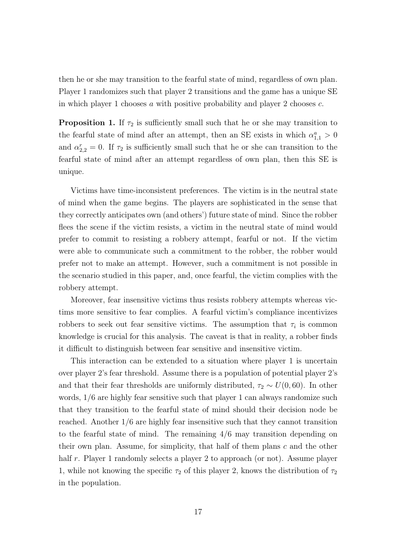then he or she may transition to the fearful state of mind, regardless of own plan. Player 1 randomizes such that player 2 transitions and the game has a unique SE in which player 1 chooses  $a$  with positive probability and player 2 chooses  $c$ .

**Proposition 1.** If  $\tau_2$  is sufficiently small such that he or she may transition to the fearful state of mind after an attempt, then an SE exists in which  $\alpha_{1,1}^a > 0$ and  $\alpha_{2,2}^r = 0$ . If  $\tau_2$  is sufficiently small such that he or she can transition to the fearful state of mind after an attempt regardless of own plan, then this SE is unique.

Victims have time-inconsistent preferences. The victim is in the neutral state of mind when the game begins. The players are sophisticated in the sense that they correctly anticipates own (and others') future state of mind. Since the robber flees the scene if the victim resists, a victim in the neutral state of mind would prefer to commit to resisting a robbery attempt, fearful or not. If the victim were able to communicate such a commitment to the robber, the robber would prefer not to make an attempt. However, such a commitment is not possible in the scenario studied in this paper, and, once fearful, the victim complies with the robbery attempt.

Moreover, fear insensitive victims thus resists robbery attempts whereas victims more sensitive to fear complies. A fearful victim's compliance incentivizes robbers to seek out fear sensitive victims. The assumption that  $\tau_i$  is common knowledge is crucial for this analysis. The caveat is that in reality, a robber finds it difficult to distinguish between fear sensitive and insensitive victim.

This interaction can be extended to a situation where player 1 is uncertain over player 2's fear threshold. Assume there is a population of potential player 2's and that their fear thresholds are uniformly distributed,  $\tau_2 \sim U(0, 60)$ . In other words, 1/6 are highly fear sensitive such that player 1 can always randomize such that they transition to the fearful state of mind should their decision node be reached. Another 1/6 are highly fear insensitive such that they cannot transition to the fearful state of mind. The remaining 4/6 may transition depending on their own plan. Assume, for simplicity, that half of them plans  $c$  and the other half r. Player 1 randomly selects a player 2 to approach (or not). Assume player 1, while not knowing the specific  $\tau_2$  of this player 2, knows the distribution of  $\tau_2$ in the population.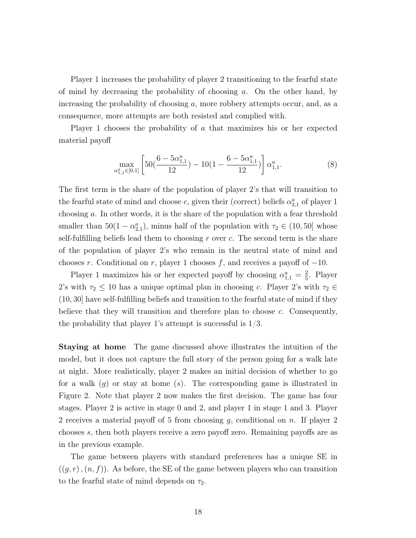Player 1 increases the probability of player 2 transitioning to the fearful state of mind by decreasing the probability of choosing  $a$ . On the other hand, by increasing the probability of choosing a, more robbery attempts occur, and, as a consequence, more attempts are both resisted and complied with.

Player 1 chooses the probability of a that maximizes his or her expected material payoff

$$
\max_{\alpha_{1,1}^a \in [0,1]} \left[ 50\left(\frac{6 - 5\alpha_{1,1}^a}{12}\right) - 10\left(1 - \frac{6 - 5\alpha_{1,1}^a}{12}\right) \right] \alpha_{1,1}^a. \tag{8}
$$

The first term is the share of the population of player 2's that will transition to the fearful state of mind and choose c, given their (correct) beliefs  $\alpha_{2,1}^a$  of player 1 choosing a. In other words, it is the share of the population with a fear threshold smaller than  $50(1 - \alpha_{2,1}^a)$ , minus half of the population with  $\tau_2 \in (10, 50]$  whose self-fulfilling beliefs lead them to choosing  $r$  over  $c$ . The second term is the share of the population of player 2's who remain in the neutral state of mind and chooses r. Conditional on r, player 1 chooses f, and receives a payoff of  $-10$ .

Player 1 maximizes his or her expected payoff by choosing  $\alpha_{1,1}^a = \frac{2}{5}$  $\frac{2}{5}$ . Player 2's with  $\tau_2 \leq 10$  has a unique optimal plan in choosing c. Player 2's with  $\tau_2 \in$ (10, 30] have self-fulfilling beliefs and transition to the fearful state of mind if they believe that they will transition and therefore plan to choose  $c$ . Consequently, the probability that player 1's attempt is successful is 1/3.

Staying at home The game discussed above illustrates the intuition of the model, but it does not capture the full story of the person going for a walk late at night. More realistically, player 2 makes an initial decision of whether to go for a walk  $(g)$  or stay at home  $(s)$ . The corresponding game is illustrated in Figure 2. Note that player 2 now makes the first decision. The game has four stages. Player 2 is active in stage 0 and 2, and player 1 in stage 1 and 3. Player 2 receives a material payoff of 5 from choosing g, conditional on n. If player 2 chooses s, then both players receive a zero payoff zero. Remaining payoffs are as in the previous example.

The game between players with standard preferences has a unique SE in  $((g, r), (n, f))$ . As before, the SE of the game between players who can transition to the fearful state of mind depends on  $\tau_2$ .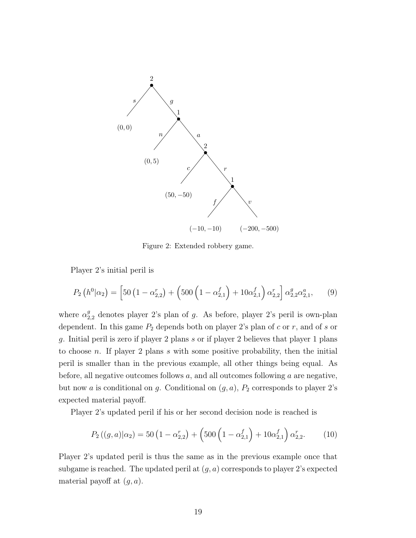

Figure 2: Extended robbery game.

Player 2's initial peril is

$$
P_2\left(h^0|\alpha_2\right) = \left[50\left(1 - \alpha_{2,2}^r\right) + \left(500\left(1 - \alpha_{2,1}^f\right) + 10\alpha_{2,1}^f\right)\alpha_{2,2}^r\right]\alpha_{2,2}^g\alpha_{2,1}^a, \qquad (9)
$$

where  $\alpha_{2,2}^g$  denotes player 2's plan of g. As before, player 2's peril is own-plan dependent. In this game  $P_2$  depends both on player 2's plan of c or r, and of s or g. Initial peril is zero if player 2 plans s or if player 2 believes that player 1 plans to choose n. If player 2 plans s with some positive probability, then the initial peril is smaller than in the previous example, all other things being equal. As before, all negative outcomes follows  $a$ , and all outcomes following  $a$  are negative, but now a is conditional on g. Conditional on  $(g, a)$ ,  $P_2$  corresponds to player 2's expected material payoff.

Player 2's updated peril if his or her second decision node is reached is

$$
P_2((g,a)|\alpha_2) = 50 \left(1 - \alpha_{2,2}^r\right) + \left(500 \left(1 - \alpha_{2,1}^f\right) + 10\alpha_{2,1}^f\right) \alpha_{2,2}^r. \tag{10}
$$

Player 2's updated peril is thus the same as in the previous example once that subgame is reached. The updated peril at  $(q, a)$  corresponds to player 2's expected material payoff at  $(g, a)$ .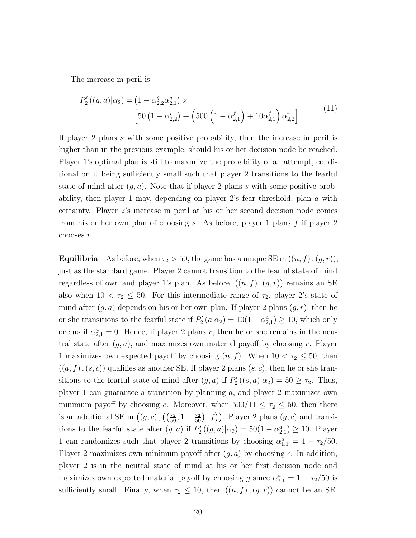The increase in peril is

$$
P'_{2}((g,a)|\alpha_{2}) = (1 - \alpha_{2,2}^{g} \alpha_{2,1}^{a}) \times \left[50(1 - \alpha_{2,2}^{r}) + (500(1 - \alpha_{2,1}^{f}) + 10\alpha_{2,1}^{f})\alpha_{2,2}^{r}\right].
$$
\n(11)

If player 2 plans s with some positive probability, then the increase in peril is higher than in the previous example, should his or her decision node be reached. Player 1's optimal plan is still to maximize the probability of an attempt, conditional on it being sufficiently small such that player 2 transitions to the fearful state of mind after  $(g, a)$ . Note that if player 2 plans s with some positive probability, then player 1 may, depending on player 2's fear threshold, plan a with certainty. Player 2's increase in peril at his or her second decision node comes from his or her own plan of choosing s. As before, player 1 plans f if player 2 chooses r.

**Equilibria** As before, when  $\tau_2 > 50$ , the game has a unique SE in  $((n, f), (g, r)),$ just as the standard game. Player 2 cannot transition to the fearful state of mind regardless of own and player 1's plan. As before,  $((n, f), (g, r))$  remains an SE also when  $10 < \tau_2 \leq 50$ . For this intermediate range of  $\tau_2$ , player 2's state of mind after  $(g, a)$  depends on his or her own plan. If player 2 plans  $(g, r)$ , then he or she transitions to the fearful state if  $P'_2(a|\alpha_2) = 10(1-\alpha_{2,1}^a) \ge 10$ , which only occurs if  $\alpha_{2,1}^a = 0$ . Hence, if player 2 plans r, then he or she remains in the neutral state after  $(g, a)$ , and maximizes own material payoff by choosing r. Player 1 maximizes own expected payoff by choosing  $(n, f)$ . When  $10 < \tau_2 \le 50$ , then  $((a, f), (s, c))$  qualifies as another SE. If player 2 plans  $(s, c)$ , then he or she transitions to the fearful state of mind after  $(g, a)$  if  $P'_2((s, a)|\alpha_2) = 50 \geq \tau_2$ . Thus, player 1 can guarantee a transition by planning a, and player 2 maximizes own minimum payoff by choosing c. Moreover, when  $500/11 \leq \tau_2 \leq 50$ , then there is an additional SE in  $((g, c), ((\frac{\tau_2}{50}, 1 - \frac{\tau_2}{50}), f))$ . Player 2 plans  $(g, c)$  and transitions to the fearful state after  $(g, a)$  if  $P'_2((g, a)|\alpha_2) = 50(1 - \alpha_{2,1}^a) \ge 10$ . Player 1 can randomizes such that player 2 transitions by choosing  $\alpha_{1,1}^a = 1 - \tau_2/50$ . Player 2 maximizes own minimum payoff after  $(q, a)$  by choosing c. In addition, player 2 is in the neutral state of mind at his or her first decision node and maximizes own expected material payoff by choosing g since  $\alpha_{2,1}^a = 1 - \tau_2/50$  is sufficiently small. Finally, when  $\tau_2 \leq 10$ , then  $((n, f), (g, r))$  cannot be an SE.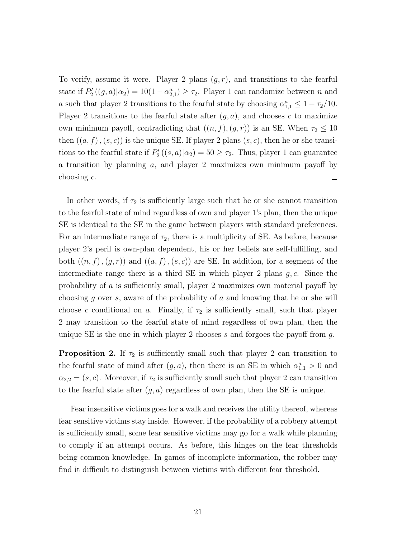To verify, assume it were. Player 2 plans  $(g, r)$ , and transitions to the fearful state if  $P'_{2}((g, a)|\alpha_{2}) = 10(1 - \alpha_{2,1}^{a}) \geq \tau_{2}$ . Player 1 can randomize between n and a such that player 2 transitions to the fearful state by choosing  $\alpha_{1,1}^a \leq 1 - \tau_2/10$ . Player 2 transitions to the fearful state after  $(g, a)$ , and chooses c to maximize own minimum payoff, contradicting that  $((n, f), (g, r))$  is an SE. When  $\tau_2 \leq 10$ then  $((a, f), (s, c))$  is the unique SE. If player 2 plans  $(s, c)$ , then he or she transitions to the fearful state if  $P'_{2}((s, a)|\alpha_{2}) = 50 \geq \tau_{2}$ . Thus, player 1 can guarantee a transition by planning a, and player 2 maximizes own minimum payoff by  $\Box$ choosing c.

In other words, if  $\tau_2$  is sufficiently large such that he or she cannot transition to the fearful state of mind regardless of own and player 1's plan, then the unique SE is identical to the SE in the game between players with standard preferences. For an intermediate range of  $\tau_2$ , there is a multiplicity of SE. As before, because player 2's peril is own-plan dependent, his or her beliefs are self-fulfilling, and both  $((n, f), (g, r))$  and  $((a, f), (s, c))$  are SE. In addition, for a segment of the intermediate range there is a third SE in which player 2 plans  $g, c$ . Since the probability of a is sufficiently small, player 2 maximizes own material payoff by choosing g over s, aware of the probability of a and knowing that he or she will choose c conditional on a. Finally, if  $\tau_2$  is sufficiently small, such that player 2 may transition to the fearful state of mind regardless of own plan, then the unique SE is the one in which player 2 chooses s and forgoes the payoff from  $q$ .

**Proposition 2.** If  $\tau_2$  is sufficiently small such that player 2 can transition to the fearful state of mind after  $(g, a)$ , then there is an SE in which  $\alpha_{1,1}^a > 0$  and  $\alpha_{2,2} = (s, c)$ . Moreover, if  $\tau_2$  is sufficiently small such that player 2 can transition to the fearful state after  $(g, a)$  regardless of own plan, then the SE is unique.

Fear insensitive victims goes for a walk and receives the utility thereof, whereas fear sensitive victims stay inside. However, if the probability of a robbery attempt is sufficiently small, some fear sensitive victims may go for a walk while planning to comply if an attempt occurs. As before, this hinges on the fear thresholds being common knowledge. In games of incomplete information, the robber may find it difficult to distinguish between victims with different fear threshold.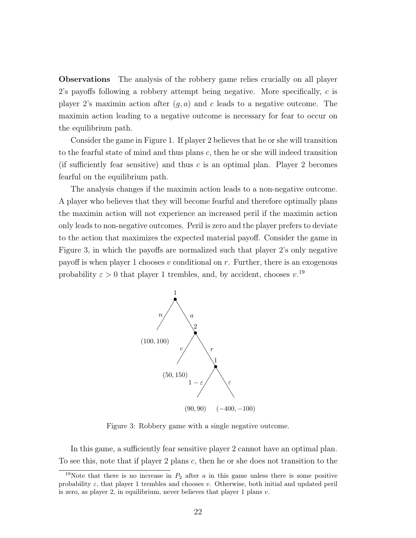Observations The analysis of the robbery game relies crucially on all player 2's payoffs following a robbery attempt being negative. More specifically,  $c$  is player 2's maximin action after  $(g, a)$  and c leads to a negative outcome. The maximin action leading to a negative outcome is necessary for fear to occur on the equilibrium path.

Consider the game in Figure 1. If player 2 believes that he or she will transition to the fearful state of mind and thus plans c, then he or she will indeed transition (if sufficiently fear sensitive) and thus  $c$  is an optimal plan. Player 2 becomes fearful on the equilibrium path.

The analysis changes if the maximin action leads to a non-negative outcome. A player who believes that they will become fearful and therefore optimally plans the maximin action will not experience an increased peril if the maximin action only leads to non-negative outcomes. Peril is zero and the player prefers to deviate to the action that maximizes the expected material payoff. Consider the game in Figure 3, in which the payoffs are normalized such that player 2's only negative payoff is when player 1 chooses v conditional on r. Further, there is an exogenous probability  $\varepsilon > 0$  that player 1 trembles, and, by accident, chooses  $v^{19}$ .



Figure 3: Robbery game with a single negative outcome.

In this game, a sufficiently fear sensitive player 2 cannot have an optimal plan. To see this, note that if player 2 plans c, then he or she does not transition to the

<sup>&</sup>lt;sup>19</sup>Note that there is no increase in  $P_2$  after a in this game unless there is some positive probability  $\varepsilon$ , that player 1 trembles and chooses v. Otherwise, both initial and updated peril is zero, as player 2, in equilibrium, never believes that player 1 plans  $v$ .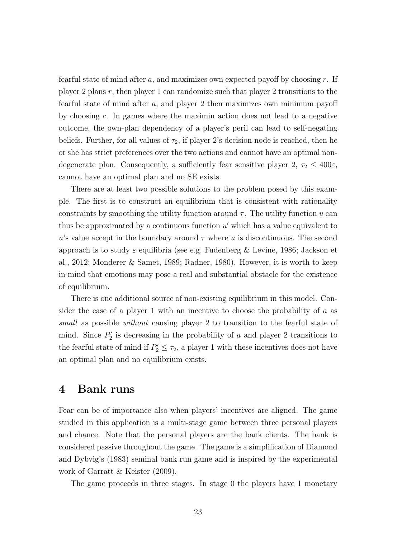fearful state of mind after  $a$ , and maximizes own expected payoff by choosing  $r$ . If player 2 plans  $r$ , then player 1 can randomize such that player 2 transitions to the fearful state of mind after a, and player 2 then maximizes own minimum payoff by choosing c. In games where the maximin action does not lead to a negative outcome, the own-plan dependency of a player's peril can lead to self-negating beliefs. Further, for all values of  $\tau_2$ , if player 2's decision node is reached, then he or she has strict preferences over the two actions and cannot have an optimal nondegenerate plan. Consequently, a sufficiently fear sensitive player 2,  $\tau_2 \leq 400\varepsilon$ , cannot have an optimal plan and no SE exists.

There are at least two possible solutions to the problem posed by this example. The first is to construct an equilibrium that is consistent with rationality constraints by smoothing the utility function around  $\tau$ . The utility function u can thus be approximated by a continuous function  $u'$  which has a value equivalent to u's value accept in the boundary around  $\tau$  where u is discontinuous. The second approach is to study  $\varepsilon$  equilibria (see e.g. Fudenberg & Levine, 1986; Jackson et al., 2012; Monderer & Samet, 1989; Radner, 1980). However, it is worth to keep in mind that emotions may pose a real and substantial obstacle for the existence of equilibrium.

There is one additional source of non-existing equilibrium in this model. Consider the case of a player 1 with an incentive to choose the probability of  $a$  as small as possible without causing player 2 to transition to the fearful state of mind. Since  $P'_2$  is decreasing in the probability of a and player 2 transitions to the fearful state of mind if  $P'_2 \leq \tau_2$ , a player 1 with these incentives does not have an optimal plan and no equilibrium exists.

#### 4 Bank runs

Fear can be of importance also when players' incentives are aligned. The game studied in this application is a multi-stage game between three personal players and chance. Note that the personal players are the bank clients. The bank is considered passive throughout the game. The game is a simplification of Diamond and Dybvig's (1983) seminal bank run game and is inspired by the experimental work of Garratt & Keister (2009).

The game proceeds in three stages. In stage 0 the players have 1 monetary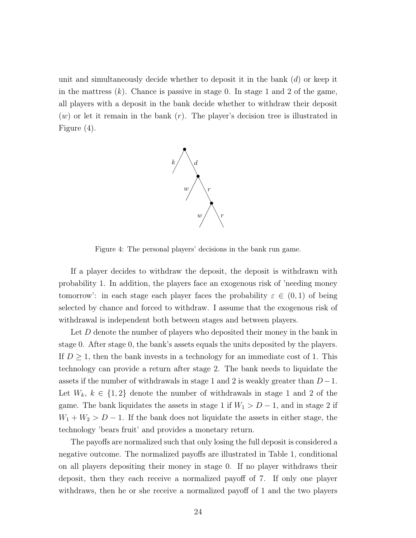unit and simultaneously decide whether to deposit it in the bank  $(d)$  or keep it in the mattress  $(k)$ . Chance is passive in stage 0. In stage 1 and 2 of the game, all players with a deposit in the bank decide whether to withdraw their deposit  $(w)$  or let it remain in the bank  $(r)$ . The player's decision tree is illustrated in Figure (4).



Figure 4: The personal players' decisions in the bank run game.

If a player decides to withdraw the deposit, the deposit is withdrawn with probability 1. In addition, the players face an exogenous risk of 'needing money tomorrow': in each stage each player faces the probability  $\varepsilon \in (0,1)$  of being selected by chance and forced to withdraw. I assume that the exogenous risk of withdrawal is independent both between stages and between players.

Let  $D$  denote the number of players who deposited their money in the bank in stage 0. After stage 0, the bank's assets equals the units deposited by the players. If  $D \geq 1$ , then the bank invests in a technology for an immediate cost of 1. This technology can provide a return after stage 2. The bank needs to liquidate the assets if the number of withdrawals in stage 1 and 2 is weakly greater than  $D-1$ . Let  $W_k, k \in \{1,2\}$  denote the number of withdrawals in stage 1 and 2 of the game. The bank liquidates the assets in stage 1 if  $W_1 > D - 1$ , and in stage 2 if  $W_1 + W_2 > D - 1$ . If the bank does not liquidate the assets in either stage, the technology 'bears fruit' and provides a monetary return.

The payoffs are normalized such that only losing the full deposit is considered a negative outcome. The normalized payoffs are illustrated in Table 1, conditional on all players depositing their money in stage 0. If no player withdraws their deposit, then they each receive a normalized payoff of 7. If only one player withdraws, then he or she receive a normalized payoff of 1 and the two players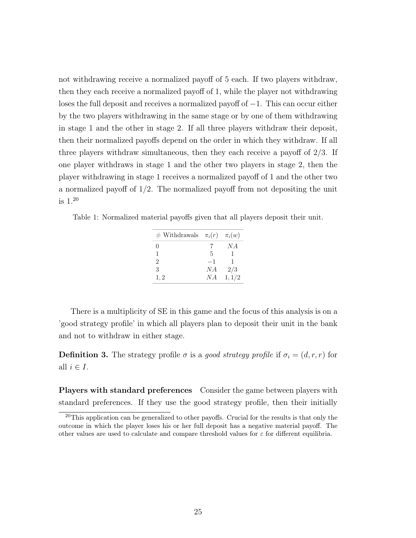not withdrawing receive a normalized payoff of 5 each. If two players withdraw, then they each receive a normalized payoff of 1, while the player not withdrawing loses the full deposit and receives a normalized payoff of −1. This can occur either by the two players withdrawing in the same stage or by one of them withdrawing in stage 1 and the other in stage 2. If all three players withdraw their deposit, then their normalized payoffs depend on the order in which they withdraw. If all three players withdraw simultaneous, then they each receive a payoff of 2/3. If one player withdraws in stage 1 and the other two players in stage 2, then the player withdrawing in stage 1 receives a normalized payoff of 1 and the other two a normalized payoff of 1/2. The normalized payoff from not depositing the unit is 1. 20

Table 1: Normalized material payoffs given that all players deposit their unit.

| $\#$ Withdrawals $\pi_i(r)$ |      | $\pi_i(w)$ |
|-----------------------------|------|------------|
| $\theta$                    |      | N A        |
| 1                           | .5   | ı          |
| 2                           | $-1$ | 1          |
| З                           | N A  | 2/3        |
| 1.2                         | N A  | 1, 1/2     |

There is a multiplicity of SE in this game and the focus of this analysis is on a 'good strategy profile' in which all players plan to deposit their unit in the bank and not to withdraw in either stage.

**Definition 3.** The strategy profile  $\sigma$  is a good strategy profile if  $\sigma_i = (d, r, r)$  for all  $i \in I$ .

Players with standard preferences Consider the game between players with standard preferences. If they use the good strategy profile, then their initially

 $20$ This application can be generalized to other payoffs. Crucial for the results is that only the outcome in which the player loses his or her full deposit has a negative material payoff. The other values are used to calculate and compare threshold values for  $\varepsilon$  for different equilibria.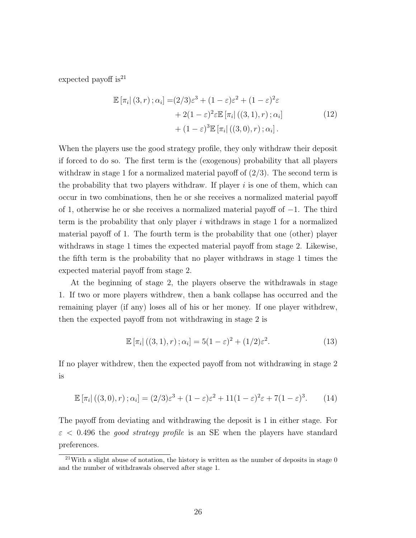expected payoff is<sup>21</sup>

$$
\mathbb{E} \left[ \pi_i \right|(3, r) ; \alpha_i \right] = (2/3)\varepsilon^3 + (1 - \varepsilon)\varepsilon^2 + (1 - \varepsilon)^2 \varepsilon + 2(1 - \varepsilon)^2 \varepsilon \mathbb{E} \left[ \pi_i \right| ((3, 1), r) ; \alpha_i] + (1 - \varepsilon)^3 \mathbb{E} \left[ \pi_i \right| ((3, 0), r) ; \alpha_i].
$$
\n(12)

When the players use the good strategy profile, they only withdraw their deposit if forced to do so. The first term is the (exogenous) probability that all players withdraw in stage 1 for a normalized material payoff of  $(2/3)$ . The second term is the probability that two players withdraw. If player  $i$  is one of them, which can occur in two combinations, then he or she receives a normalized material payoff of 1, otherwise he or she receives a normalized material payoff of −1. The third term is the probability that only player i withdraws in stage 1 for a normalized material payoff of 1. The fourth term is the probability that one (other) player withdraws in stage 1 times the expected material payoff from stage 2. Likewise, the fifth term is the probability that no player withdraws in stage 1 times the expected material payoff from stage 2.

At the beginning of stage 2, the players observe the withdrawals in stage 1. If two or more players withdrew, then a bank collapse has occurred and the remaining player (if any) loses all of his or her money. If one player withdrew, then the expected payoff from not withdrawing in stage 2 is

$$
\mathbb{E}[\pi_i]((3,1),r); \alpha_i] = 5(1-\varepsilon)^2 + (1/2)\varepsilon^2.
$$
 (13)

If no player withdrew, then the expected payoff from not withdrawing in stage 2 is

$$
\mathbb{E}\left[\pi_i\right]((3,0),r)\,;\alpha_i] = (2/3)\varepsilon^3 + (1-\varepsilon)\varepsilon^2 + 11(1-\varepsilon)^2\varepsilon + 7(1-\varepsilon)^3. \tag{14}
$$

The payoff from deviating and withdrawing the deposit is 1 in either stage. For  $\varepsilon$  < 0.496 the *good strategy profile* is an SE when the players have standard preferences.

 $21$ With a slight abuse of notation, the history is written as the number of deposits in stage 0 and the number of withdrawals observed after stage 1.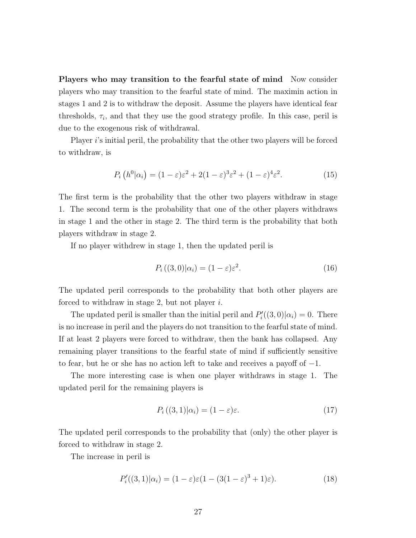Players who may transition to the fearful state of mind Now consider players who may transition to the fearful state of mind. The maximin action in stages 1 and 2 is to withdraw the deposit. Assume the players have identical fear thresholds,  $\tau_i$ , and that they use the good strategy profile. In this case, peril is due to the exogenous risk of withdrawal.

Player i's initial peril, the probability that the other two players will be forced to withdraw, is

$$
P_i(h^0|\alpha_i) = (1 - \varepsilon)\varepsilon^2 + 2(1 - \varepsilon)^3 \varepsilon^2 + (1 - \varepsilon)^4 \varepsilon^2. \tag{15}
$$

The first term is the probability that the other two players withdraw in stage 1. The second term is the probability that one of the other players withdraws in stage 1 and the other in stage 2. The third term is the probability that both players withdraw in stage 2.

If no player withdrew in stage 1, then the updated peril is

$$
P_i((3,0)|\alpha_i) = (1-\varepsilon)\varepsilon^2.
$$
\n(16)

The updated peril corresponds to the probability that both other players are forced to withdraw in stage 2, but not player  $i$ .

The updated peril is smaller than the initial peril and  $P'_{i}((3,0)|\alpha_{i})=0$ . There is no increase in peril and the players do not transition to the fearful state of mind. If at least 2 players were forced to withdraw, then the bank has collapsed. Any remaining player transitions to the fearful state of mind if sufficiently sensitive to fear, but he or she has no action left to take and receives a payoff of −1.

The more interesting case is when one player withdraws in stage 1. The updated peril for the remaining players is

$$
P_i((3,1)|\alpha_i) = (1-\varepsilon)\varepsilon.
$$
\n(17)

The updated peril corresponds to the probability that (only) the other player is forced to withdraw in stage 2.

The increase in peril is

$$
P'_{i}((3,1)|\alpha_{i}) = (1-\varepsilon)\varepsilon(1-(3(1-\varepsilon)^{3}+1)\varepsilon).
$$
 (18)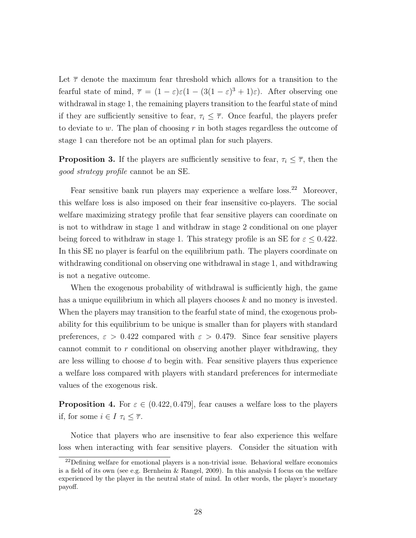Let  $\bar{\tau}$  denote the maximum fear threshold which allows for a transition to the fearful state of mind,  $\bar{\tau} = (1 - \varepsilon)\varepsilon(1 - (3(1 - \varepsilon)^3 + 1)\varepsilon)$ . After observing one withdrawal in stage 1, the remaining players transition to the fearful state of mind if they are sufficiently sensitive to fear,  $\tau_i \leq \overline{\tau}$ . Once fearful, the players prefer to deviate to w. The plan of choosing  $r$  in both stages regardless the outcome of stage 1 can therefore not be an optimal plan for such players.

**Proposition 3.** If the players are sufficiently sensitive to fear,  $\tau_i \leq \overline{\tau}$ , then the good strategy profile cannot be an SE.

Fear sensitive bank run players may experience a welfare loss.<sup>22</sup> Moreover, this welfare loss is also imposed on their fear insensitive co-players. The social welfare maximizing strategy profile that fear sensitive players can coordinate on is not to withdraw in stage 1 and withdraw in stage 2 conditional on one player being forced to withdraw in stage 1. This strategy profile is an SE for  $\varepsilon \leq 0.422$ . In this SE no player is fearful on the equilibrium path. The players coordinate on withdrawing conditional on observing one withdrawal in stage 1, and withdrawing is not a negative outcome.

When the exogenous probability of withdrawal is sufficiently high, the game has a unique equilibrium in which all players chooses k and no money is invested. When the players may transition to the fearful state of mind, the exogenous probability for this equilibrium to be unique is smaller than for players with standard preferences,  $\varepsilon > 0.422$  compared with  $\varepsilon > 0.479$ . Since fear sensitive players cannot commit to r conditional on observing another player withdrawing, they are less willing to choose  $d$  to begin with. Fear sensitive players thus experience a welfare loss compared with players with standard preferences for intermediate values of the exogenous risk.

**Proposition 4.** For  $\varepsilon \in (0.422, 0.479]$ , fear causes a welfare loss to the players if, for some  $i \in I \tau_i \leq \overline{\tau}$ .

Notice that players who are insensitive to fear also experience this welfare loss when interacting with fear sensitive players. Consider the situation with

 $22$ Defining welfare for emotional players is a non-trivial issue. Behavioral welfare economics is a field of its own (see e.g. Bernheim & Rangel, 2009). In this analysis I focus on the welfare experienced by the player in the neutral state of mind. In other words, the player's monetary payoff.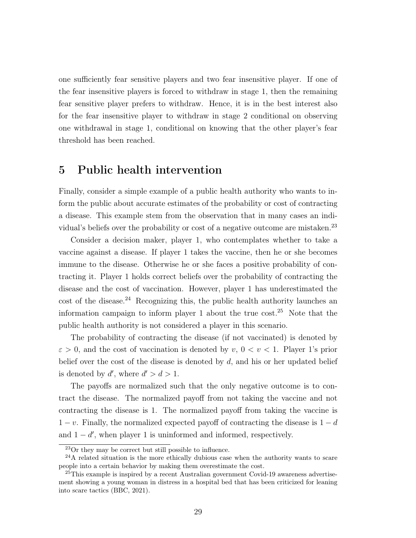one sufficiently fear sensitive players and two fear insensitive player. If one of the fear insensitive players is forced to withdraw in stage 1, then the remaining fear sensitive player prefers to withdraw. Hence, it is in the best interest also for the fear insensitive player to withdraw in stage 2 conditional on observing one withdrawal in stage 1, conditional on knowing that the other player's fear threshold has been reached.

#### 5 Public health intervention

Finally, consider a simple example of a public health authority who wants to inform the public about accurate estimates of the probability or cost of contracting a disease. This example stem from the observation that in many cases an individual's beliefs over the probability or cost of a negative outcome are mistaken.<sup>23</sup>

Consider a decision maker, player 1, who contemplates whether to take a vaccine against a disease. If player 1 takes the vaccine, then he or she becomes immune to the disease. Otherwise he or she faces a positive probability of contracting it. Player 1 holds correct beliefs over the probability of contracting the disease and the cost of vaccination. However, player 1 has underestimated the  $\cot$  of the disease.<sup>24</sup> Recognizing this, the public health authority launches an information campaign to inform player 1 about the true  $\cos t$ .<sup>25</sup> Note that the public health authority is not considered a player in this scenario.

The probability of contracting the disease (if not vaccinated) is denoted by  $\varepsilon > 0$ , and the cost of vaccination is denoted by v,  $0 < v < 1$ . Player 1's prior belief over the cost of the disease is denoted by  $d$ , and his or her updated belief is denoted by  $d'$ , where  $d' > d > 1$ .

The payoffs are normalized such that the only negative outcome is to contract the disease. The normalized payoff from not taking the vaccine and not contracting the disease is 1. The normalized payoff from taking the vaccine is  $1 - v$ . Finally, the normalized expected payoff of contracting the disease is  $1 - d$ and  $1 - d'$ , when player 1 is uninformed and informed, respectively.

<sup>23</sup>Or they may be correct but still possible to influence.

 $^{24}$ A related situation is the more ethically dubious case when the authority wants to scare people into a certain behavior by making them overestimate the cost.

 $^{25}$ This example is inspired by a recent Australian government Covid-19 awareness advertisement showing a young woman in distress in a hospital bed that has been criticized for leaning into scare tactics (BBC, 2021).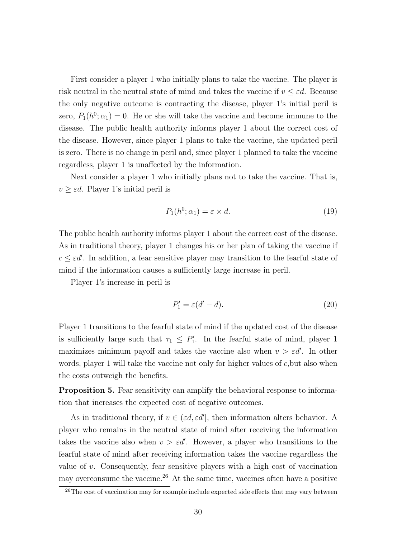First consider a player 1 who initially plans to take the vaccine. The player is risk neutral in the neutral state of mind and takes the vaccine if  $v \leq \varepsilon d$ . Because the only negative outcome is contracting the disease, player 1's initial peril is zero,  $P_1(h^0; \alpha_1) = 0$ . He or she will take the vaccine and become immune to the disease. The public health authority informs player 1 about the correct cost of the disease. However, since player 1 plans to take the vaccine, the updated peril is zero. There is no change in peril and, since player 1 planned to take the vaccine regardless, player 1 is unaffected by the information.

Next consider a player 1 who initially plans not to take the vaccine. That is,  $v \geq \varepsilon d$ . Player 1's initial peril is

$$
P_1(h^0; \alpha_1) = \varepsilon \times d. \tag{19}
$$

The public health authority informs player 1 about the correct cost of the disease. As in traditional theory, player 1 changes his or her plan of taking the vaccine if  $c \leq \varepsilon d'$ . In addition, a fear sensitive player may transition to the fearful state of mind if the information causes a sufficiently large increase in peril.

Player 1's increase in peril is

$$
P_1' = \varepsilon (d' - d). \tag{20}
$$

Player 1 transitions to the fearful state of mind if the updated cost of the disease is sufficiently large such that  $\tau_1 \leq P'_1$ . In the fearful state of mind, player 1 maximizes minimum payoff and takes the vaccine also when  $v > \varepsilon d'$ . In other words, player 1 will take the vaccine not only for higher values of c, but also when the costs outweigh the benefits.

Proposition 5. Fear sensitivity can amplify the behavioral response to information that increases the expected cost of negative outcomes.

As in traditional theory, if  $v \in (\varepsilon d, \varepsilon d']$ , then information alters behavior. A player who remains in the neutral state of mind after receiving the information takes the vaccine also when  $v > \varepsilon d'$ . However, a player who transitions to the fearful state of mind after receiving information takes the vaccine regardless the value of v. Consequently, fear sensitive players with a high cost of vaccination may overconsume the vaccine.<sup>26</sup> At the same time, vaccines often have a positive

 $\frac{1}{26}$ The cost of vaccination may for example include expected side effects that may vary between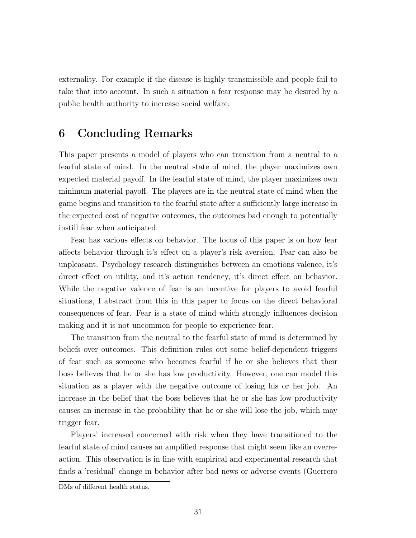externality. For example if the disease is highly transmissible and people fail to take that into account. In such a situation a fear response may be desired by a public health authority to increase social welfare.

# 6 Concluding Remarks

This paper presents a model of players who can transition from a neutral to a fearful state of mind. In the neutral state of mind, the player maximizes own expected material payoff. In the fearful state of mind, the player maximizes own minimum material payoff. The players are in the neutral state of mind when the game begins and transition to the fearful state after a sufficiently large increase in the expected cost of negative outcomes, the outcomes bad enough to potentially instill fear when anticipated.

Fear has various effects on behavior. The focus of this paper is on how fear affects behavior through it's effect on a player's risk aversion. Fear can also be unpleasant. Psychology research distinguishes between an emotions valence, it's direct effect on utility, and it's action tendency, it's direct effect on behavior. While the negative valence of fear is an incentive for players to avoid fearful situations, I abstract from this in this paper to focus on the direct behavioral consequences of fear. Fear is a state of mind which strongly influences decision making and it is not uncommon for people to experience fear.

The transition from the neutral to the fearful state of mind is determined by beliefs over outcomes. This definition rules out some belief-dependent triggers of fear such as someone who becomes fearful if he or she believes that their boss believes that he or she has low productivity. However, one can model this situation as a player with the negative outcome of losing his or her job. An increase in the belief that the boss believes that he or she has low productivity causes an increase in the probability that he or she will lose the job, which may trigger fear.

Players' increased concerned with risk when they have transitioned to the fearful state of mind causes an amplified response that might seem like an overreaction. This observation is in line with empirical and experimental research that finds a 'residual' change in behavior after bad news or adverse events (Guerrero

DMs of different health status.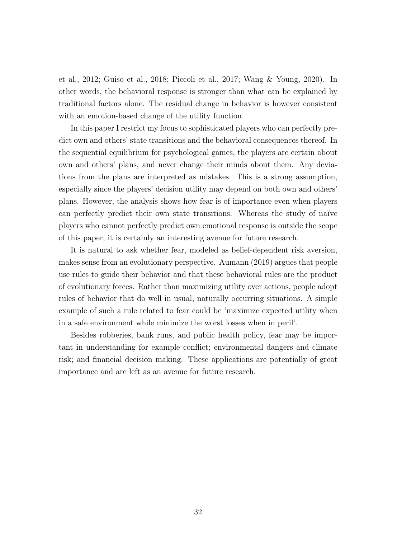et al., 2012; Guiso et al., 2018; Piccoli et al., 2017; Wang & Young, 2020). In other words, the behavioral response is stronger than what can be explained by traditional factors alone. The residual change in behavior is however consistent with an emotion-based change of the utility function.

In this paper I restrict my focus to sophisticated players who can perfectly predict own and others' state transitions and the behavioral consequences thereof. In the sequential equilibrium for psychological games, the players are certain about own and others' plans, and never change their minds about them. Any deviations from the plans are interpreted as mistakes. This is a strong assumption, especially since the players' decision utility may depend on both own and others' plans. However, the analysis shows how fear is of importance even when players can perfectly predict their own state transitions. Whereas the study of naïve players who cannot perfectly predict own emotional response is outside the scope of this paper, it is certainly an interesting avenue for future research.

It is natural to ask whether fear, modeled as belief-dependent risk aversion, makes sense from an evolutionary perspective. Aumann (2019) argues that people use rules to guide their behavior and that these behavioral rules are the product of evolutionary forces. Rather than maximizing utility over actions, people adopt rules of behavior that do well in usual, naturally occurring situations. A simple example of such a rule related to fear could be 'maximize expected utility when in a safe environment while minimize the worst losses when in peril'.

Besides robberies, bank runs, and public health policy, fear may be important in understanding for example conflict; environmental dangers and climate risk; and financial decision making. These applications are potentially of great importance and are left as an avenue for future research.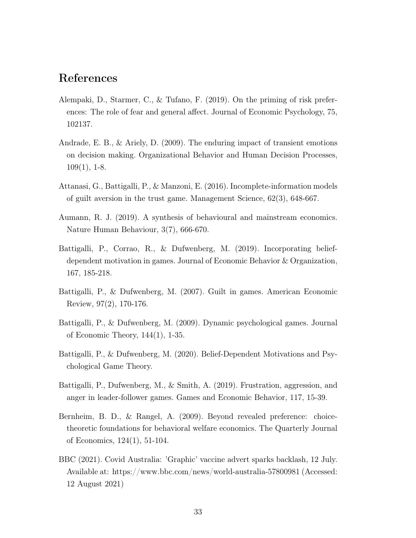# References

- Alempaki, D., Starmer, C., & Tufano, F. (2019). On the priming of risk preferences: The role of fear and general affect. Journal of Economic Psychology, 75, 102137.
- Andrade, E. B., & Ariely, D. (2009). The enduring impact of transient emotions on decision making. Organizational Behavior and Human Decision Processes,  $109(1)$ , 1-8.
- Attanasi, G., Battigalli, P., & Manzoni, E. (2016). Incomplete-information models of guilt aversion in the trust game. Management Science, 62(3), 648-667.
- Aumann, R. J. (2019). A synthesis of behavioural and mainstream economics. Nature Human Behaviour, 3(7), 666-670.
- Battigalli, P., Corrao, R., & Dufwenberg, M. (2019). Incorporating beliefdependent motivation in games. Journal of Economic Behavior & Organization, 167, 185-218.
- Battigalli, P., & Dufwenberg, M. (2007). Guilt in games. American Economic Review, 97(2), 170-176.
- Battigalli, P., & Dufwenberg, M. (2009). Dynamic psychological games. Journal of Economic Theory, 144(1), 1-35.
- Battigalli, P., & Dufwenberg, M. (2020). Belief-Dependent Motivations and Psychological Game Theory.
- Battigalli, P., Dufwenberg, M., & Smith, A. (2019). Frustration, aggression, and anger in leader-follower games. Games and Economic Behavior, 117, 15-39.
- Bernheim, B. D., & Rangel, A. (2009). Beyond revealed preference: choicetheoretic foundations for behavioral welfare economics. The Quarterly Journal of Economics, 124(1), 51-104.
- BBC (2021). Covid Australia: 'Graphic' vaccine advert sparks backlash, 12 July. Available at: https://www.bbc.com/news/world-australia-57800981 (Accessed: 12 August 2021)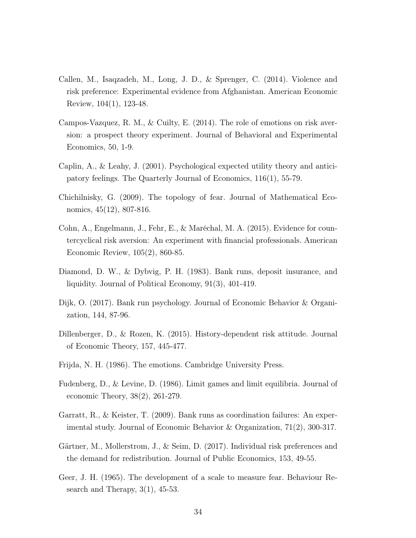- Callen, M., Isaqzadeh, M., Long, J. D., & Sprenger, C. (2014). Violence and risk preference: Experimental evidence from Afghanistan. American Economic Review, 104(1), 123-48.
- Campos-Vazquez, R. M., & Cuilty, E. (2014). The role of emotions on risk aversion: a prospect theory experiment. Journal of Behavioral and Experimental Economics, 50, 1-9.
- Caplin, A., & Leahy, J. (2001). Psychological expected utility theory and anticipatory feelings. The Quarterly Journal of Economics, 116(1), 55-79.
- Chichilnisky, G. (2009). The topology of fear. Journal of Mathematical Economics, 45(12), 807-816.
- Cohn, A., Engelmann, J., Fehr, E., & Maréchal, M. A. (2015). Evidence for countercyclical risk aversion: An experiment with financial professionals. American Economic Review, 105(2), 860-85.
- Diamond, D. W., & Dybvig, P. H. (1983). Bank runs, deposit insurance, and liquidity. Journal of Political Economy, 91(3), 401-419.
- Dijk, O. (2017). Bank run psychology. Journal of Economic Behavior & Organization, 144, 87-96.
- Dillenberger, D., & Rozen, K. (2015). History-dependent risk attitude. Journal of Economic Theory, 157, 445-477.
- Frijda, N. H. (1986). The emotions. Cambridge University Press.
- Fudenberg, D., & Levine, D. (1986). Limit games and limit equilibria. Journal of economic Theory, 38(2), 261-279.
- Garratt, R., & Keister, T. (2009). Bank runs as coordination failures: An experimental study. Journal of Economic Behavior & Organization, 71(2), 300-317.
- Gärtner, M., Mollerstrom, J., & Seim, D. (2017). Individual risk preferences and the demand for redistribution. Journal of Public Economics, 153, 49-55.
- Geer, J. H. (1965). The development of a scale to measure fear. Behaviour Research and Therapy,  $3(1)$ ,  $45-53$ .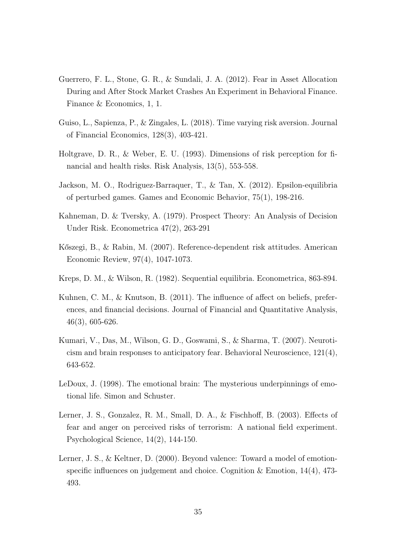- Guerrero, F. L., Stone, G. R., & Sundali, J. A. (2012). Fear in Asset Allocation During and After Stock Market Crashes An Experiment in Behavioral Finance. Finance & Economics, 1, 1.
- Guiso, L., Sapienza, P., & Zingales, L. (2018). Time varying risk aversion. Journal of Financial Economics, 128(3), 403-421.
- Holtgrave, D. R., & Weber, E. U. (1993). Dimensions of risk perception for financial and health risks. Risk Analysis, 13(5), 553-558.
- Jackson, M. O., Rodriguez-Barraquer, T., & Tan, X. (2012). Epsilon-equilibria of perturbed games. Games and Economic Behavior, 75(1), 198-216.
- Kahneman, D. & Tversky, A. (1979). Prospect Theory: An Analysis of Decision Under Risk. Econometrica 47(2), 263-291
- Kőszegi, B., & Rabin, M. (2007). Reference-dependent risk attitudes. American Economic Review, 97(4), 1047-1073.
- Kreps, D. M., & Wilson, R. (1982). Sequential equilibria. Econometrica, 863-894.
- Kuhnen, C. M., & Knutson, B. (2011). The influence of affect on beliefs, preferences, and financial decisions. Journal of Financial and Quantitative Analysis, 46(3), 605-626.
- Kumari, V., Das, M., Wilson, G. D., Goswami, S., & Sharma, T. (2007). Neuroticism and brain responses to anticipatory fear. Behavioral Neuroscience, 121(4), 643-652.
- LeDoux, J. (1998). The emotional brain: The mysterious underpinnings of emotional life. Simon and Schuster.
- Lerner, J. S., Gonzalez, R. M., Small, D. A., & Fischhoff, B. (2003). Effects of fear and anger on perceived risks of terrorism: A national field experiment. Psychological Science, 14(2), 144-150.
- Lerner, J. S., & Keltner, D. (2000). Beyond valence: Toward a model of emotionspecific influences on judgement and choice. Cognition  $\&$  Emotion, 14(4), 473-493.